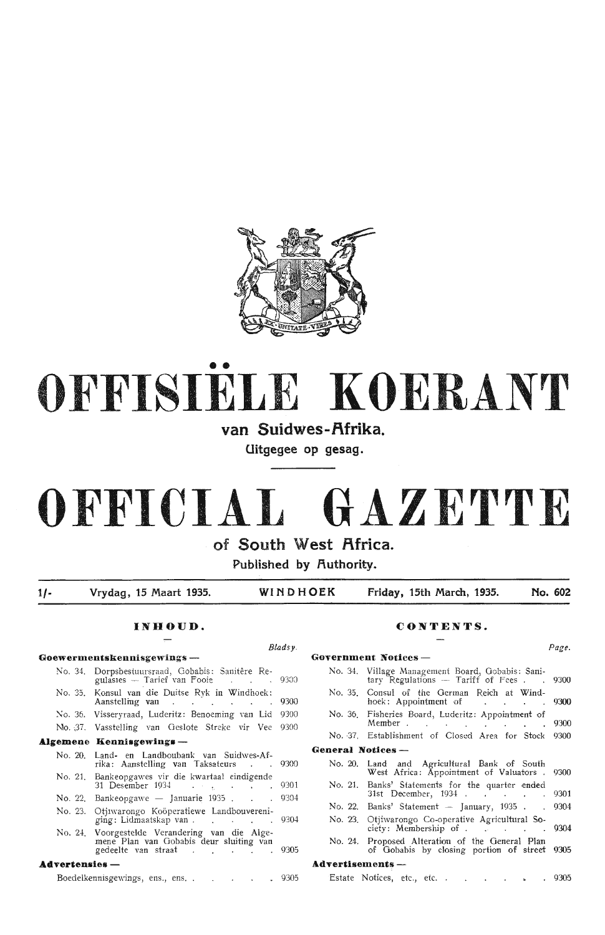

# •• **OFFISIELE KOERANT**

## van Suidwes-Afrika.

**Uitgegee op gesag.** 

# **OFFICIAL GAZETTE**

**of South West Africa.** 

**Published by Authority.** 

1/- **Vrydag, 15 Maart 1935. WINDHOEK Friday, 15th March, 1935. No. 602** 

*Bladsy.* 

## **INHOUD.**

## **Goewermentskennisgewings** - No. 34. Dorpsbestuursraad, Gobabis: Sanitêre Regulasies - Tarief van Fooie 9300 No. 35. Konsul Yan die Duitse Rvk in Windhoek: Aanstelling van Paris (1989) 1980 van 1980 van 1980 van 1980 van 1980 van 1980 van 1980 van 1980 van 1980 van 1980 van 1980 van 1980 van 1980 van 1980 van 1980 van 1980 van 1980 van 1980 van 1980 van 1980 van 1980 van 1980 No. 36. Visseryraad, Luderitz: Benoeming van Lid 9300 No. J7. VassteJling van Geslote Streke vir Vee 9300 **A.lgemene Kennisgewinga** - No. 20. Land- en Landboubank van Suidwes-Afrika: Aanstelling van Taksateurs . . 9300 No. 21. Bankeopgawes vir die kwartaal eindigende 31 Desember 1934 (a) (b) (b) (b) (b) (c) 9301 No. 22. Bankeopgawe - Januarie  $1935$ . . . 9304 No. 23. Otjiwarongo Koöperatiewe Landbouvereniging: Lidmaatskap van . . . . . . . 9304 No. 2-!. Voorgestelde Verandering van die Alge- rnene Plan van Gobabis deur sluiting van gedeelte van straat 9305

## **Advertensies** -

Boedelkennisgewings, ens., ens. . . . . . . 9305

## **CONTENTS.**

#### Government Notices -No. 34. Village Management Board, Gobabis: Sani-<br>tary Regulations -- Tariff of Fees . . 9300 No. 35. Consul of the German Reich at Windhoek: Appointment of Participate 19300 No. 36. Fisheries Board, Luderitz: Appointment of Member . . . . . . . . 9300 No. 37. Establishment of Closed Area for Stock 9300 General Notices -No. 20. No. 21. Banks' Statements for the quarter ended No. 22. Banks' Statement — January, 1935 Land and Agricultural Bank of South West Africa: Appointment of Valuators 31st December, 1934 No. 23. Otjiwarongo Co-operative Agricultural So-9300 9301 9304 ciety: Membership of . . . . . 9304 No. 24. Proposed Alteration of the General Plan of Gobabis by closing portion of street 9305 **Advertisements** - Estate Notices, etc., etc. . . . . . . 9305

*Page.*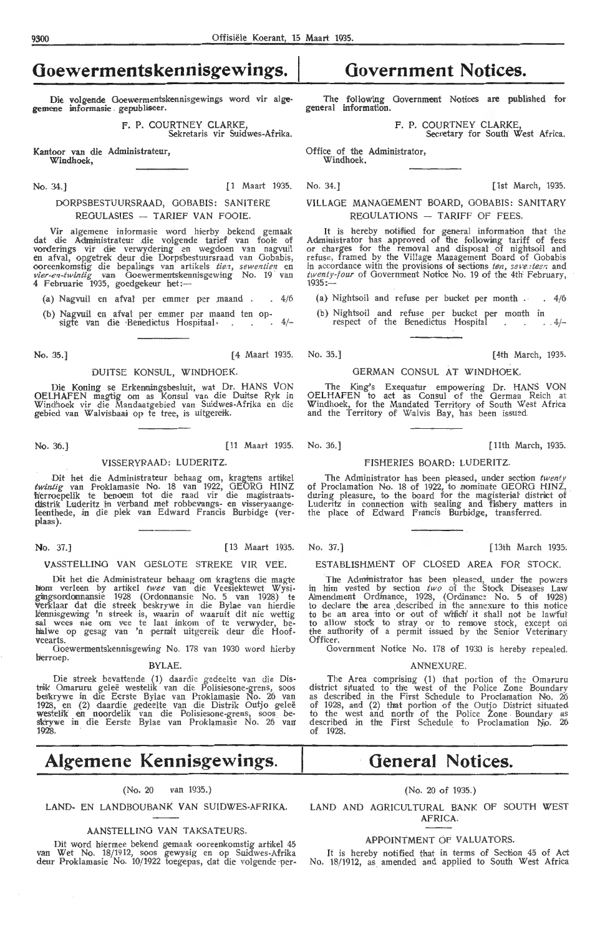# **Ooewermentskennisgewings.**

Die volgende Goewermentskennisgewings word vir alge• gemene informasie gepubliseer.

> F. P. COURTNEY CLARKE Sekretaris vir Suidwes-Afrika.

Kantoor van die Administrateur, Windhoek,

No. 34.) [ 1 Ma art 1935. No . 34.] [1st March, 1935.

## DORPSBESTUURSRAAD, GOBABIS: SANITERE REGULASIES - TARIEF VAN FOOIE.

Vir algemene informasie word hierby bekend gemaak dat die Administrateur die volgende tarief van fooie of vorderings vir die verwydering en wegdoen van nagvuil<br>en afval, opgetrek deur die Dorps'bestuursraad van Gobabis, ooreenkomstig die bepalings van artikels *tien, sewentien* en<br>*vier-en-twintig van Goewermentskennisgewing No. 19 van*<br>4 Februarie 1935, goedgekeur het:---

- (a) Nagvuil en afval per emmer per maand  $. 4/(6)$
- (b) Nagvuil en afval per emmer per maand ten op-<br>sigte van die Benedictus Hospitaal en ander de 4/-

No. 35.] [4 Maart 1935. No. 35.] [ 4th March, 193:i.

## DUITSE KONSUL, WINDHOEK.

Die Koning se Erkenningsbesluit, wat Dr. HANS VON OELHAFEN magtig om as Konsul van die Duitse Ryk in Windhoek vir die Mandaatgebied van Suidwes-Afrika en die<br>gebied van Walvisbaai op te tree, is uitgereik.

No. 36.] [ 11 Maart 1935. No. 36.] [ 11th March, 1935.

## VISSERYRAAD: LUDERITZ.

Dit het die Administrateur behaag om, kragtens artikel twintig van Proklamasie No. 18 van 1922, GEORG HINZ herroepelik te benoem tot die raad vir die magistraatsdistrik Luderitz in verband met robbevangs- en visseryaange-<br>Ieenthede, in die plek van Edward Francis Burbidge (ver-<br>plaas).

VASSTELLINO VAN OESLOTE STREKE VIR VEE.

Dit het die Administrateur behaag om kragtens die magte hom verleen by artikel *twee* van die Veesiektewet Wysigiingsordomnansie 1928 (Ordonnansie No. 5 van 1928) te<br>Verklaar dat die streek beskrywe in die Bylae van hierdie<br>kennisgewing 'n streek is, waarin of waaruit dit nie wettig sal wees nie om vee te laat inkom of te verwyder, behalwe op gesag van 'n permit uitgereik deur die Floofveearts.

Ooewermentskennisgewing No. 178 van 1930 word hierby herroep. BYLAE.

Die streek bevattende (1) daardie gedeelte van die Distrik Omaruru geleë westelik van die Polisiesone-grens, soos<br>beskrywe in die Eerste Bylae van Proklamasie No. 26 van<br>1928, en (2) daardie gedeelte van die Distrik Outjo geleë westelik en noordelik van die Polisiesone-grens, soos bes'k'rywe in die Eerste Bylae van Proklamasie No. 25 van 1928.

# **Algemene Kennisgewings.**

## (No. 20 van 1935.)

LAND- EN LANDBOUBANK VAN SUIDWES-AFRIKA.

## AANSTELLING VAN TAKSATEURS

Dit word hiermee bekend gemaak ooreenkomstig artikel 4 van Wet No. 18/1912, soos gewysig en op Suidwes-Afrika deur Proklamasie No. 10/1922 toegepas, dat die volgende per-

## **Government Notices.**

The following Government Notices are published for general information.

F. P. COURTNEY CLARKE,

Secretary for South West Africa.

Office of the Administrator, Windhoek.

VILLAGE MANAGEMENT BOARD, GOBABIS: SANITARY  $RECUUATIONS - TARIFF OF FFFS$ 

It is hereby notified for general information that the A:dministrator has approved of the following tariff of fees or charges for the removal and disposal of nightsoil and refuse, framed by the Village Management Board of Gobabis in accordance with the provisions of sections *ten, seventeer* and *twenty-four* of Government Notice No. 19 of the 4th February, 1935:-

(a) Nightsoil and refuse per bucket per month . 4/6

(b) Nightsoil and refuse per bucket per month m respect of the Benedictus Hospital  $\frac{1}{4}$ 

## GERMAN CONSUL AT WINDHOFK

The King's Exequatur empowering Dr. HANS VON OELHAFEN to act as Consul of the German Reich at Windhoek, for the Mandated Territory of South West Africa and the Territory of Walvis Bay, has been issued.

#### FISHERIES BOARD: LUDERITZ.

The Administrator has been pleased, under section twent of Proclamation No. 18 of 1922, to nominate GEORG HINZ, during pleasure, to the board for the magisterial district of Luderitz in connection with sealing and fishery matters in the place of Edward Francis Burbidge, transferred.

**No.** 37.) [ 13 Maart 1935. No. 37.] [13th March 1935.

ESTABLISHMENT OF CLOSED AREA FOR STOCK.

The Administrator has been pleased, under the powers in him vested by section *iwo* of the Stock Diseases Law Amendment Ordinance, 1928, (Ordinance No. 5 of 1928) to declare the area described in the annexure to this notice to be an area into or out of which' it shall not be lawful to allow stock to stray or to remove stock, except on the aufhority of a permit issued by the Senior Veterinary Officer

Government Notice No. 178 of 1930 is hereby repealed

#### **ANNEYHDE**

The Area comprising (1) that portion of the Omaruru district situated to the west of the Police Zone Boundary as described in the First Schedule to Proclamation No. 26 of 1928, and (2) that portion of the Outjo District situated to the west and north of the Police Zone Boundary as described in the First Schedule to Proclamation No. 26  $of$  1928

# **General Notices.**

## (No. 20 of 1935.)

LAND AND AGRICULTURAL BANK OF SOUTH WEST **AFRICA** 

### APPOINTMENT Of VALUATORS.

It is hereby notified that in terms of Section 45 of  $Ac$ No. 18/1912, as amended and applied to South West Africa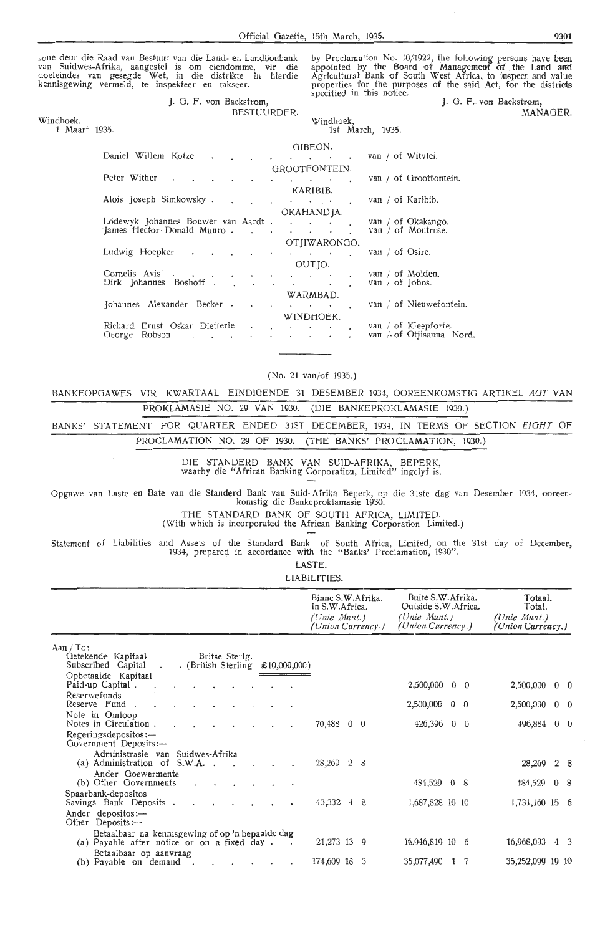sone deur die Raad van Bestuur van die Land- en Landboubank<br>van Suidwes-Afrika, aangestel is om eiendomme, vir die doeleindes van gesegde Wet, in die distrikte in hierdie kennisgewing vermeld, te inspekteer en takseer.

Daniel Willem Kotze

Peter Wither

by Proclamation No. 10/1922, the following persons have been appointed by the Board of Management of the Land and Agricultural Bank of South West Africa, to inspect and value properties for the purposes of the said Act, for the districts specified in this notice.

J. G. F. von Backstrom, MANAGER.

Windhoek, 1 Maart 1935. J. 0. F. van Backstrom,

 $\ddot{\phantom{a}}$ 

BESTUURDER. Windhoek, 1st March, 1935. OIBEON. van / of Witvlei.  $\overline{\phantom{a}}$  $\sim$ GROOTFONTEJN. van / of Grootfontein.  $\sim$   $\sim$   $\sim$  $\sim$  $\overline{\phantom{a}}$  $k$ 

|                                                                                                                                                                                                                                                               |                      |           |                      | KAKIBID.             |        |   |                      |                          |
|---------------------------------------------------------------------------------------------------------------------------------------------------------------------------------------------------------------------------------------------------------------|----------------------|-----------|----------------------|----------------------|--------|---|----------------------|--------------------------|
| Alois Joseph Simkowsky.                                                                                                                                                                                                                                       |                      |           |                      | <b>All Contracts</b> |        |   | van / of Karibib.    |                          |
|                                                                                                                                                                                                                                                               |                      |           |                      | OKAHANDIA.           |        |   |                      |                          |
| Lodewyk Johannes Bouwer van Aardt.                                                                                                                                                                                                                            |                      |           | $\ddot{\phantom{0}}$ |                      |        |   |                      | van / of Okakango.       |
| James Hector Donald Munro.                                                                                                                                                                                                                                    |                      |           |                      |                      |        |   |                      | van / of Montrose.       |
|                                                                                                                                                                                                                                                               |                      |           |                      | OTHWARONGO.          |        |   |                      |                          |
| Ludwig Hoepker<br>$\sim$<br>٠<br>٠                                                                                                                                                                                                                            |                      |           |                      |                      | $\sim$ |   | van / of Osire.      |                          |
|                                                                                                                                                                                                                                                               |                      |           |                      | OUT JO.              |        |   |                      |                          |
| Cornelis Avis<br>$\bullet$ . The contract of the contract of the contract of the contract of the contract of the contract of the contract of the contract of the contract of the contract of the contract of the contract of the contract of the co<br>$\sim$ | $\ddot{\phantom{0}}$ |           |                      |                      |        | ۰ | van / of Molden.     |                          |
| Dirk Johannes Boshoff.                                                                                                                                                                                                                                        |                      | $\bullet$ | $\cdot$              |                      | ٠      |   | van $\int$ of Jobos. |                          |
|                                                                                                                                                                                                                                                               |                      |           |                      | WARMBAD.             |        |   |                      |                          |
| Johannes Alexander Becker.                                                                                                                                                                                                                                    |                      |           |                      | $\sim$               | ٠      |   |                      | van / of Nieuwefontein.  |
|                                                                                                                                                                                                                                                               |                      |           |                      | WINDHOEK.            |        |   |                      |                          |
| Richard Ernst Oskar Dietterle                                                                                                                                                                                                                                 | $\blacksquare$       |           | $\bullet$            | $\sim$               | $\sim$ |   |                      | van / of Kleepforte.     |
| Robson<br>George<br>$\bullet$                                                                                                                                                                                                                                 |                      |           |                      |                      | ٠      |   |                      | van / of Otjisauna Nord. |
|                                                                                                                                                                                                                                                               |                      |           |                      |                      |        |   |                      |                          |

(No. 21 van/of 1935.)

BANKEOPGAWES VIR KWARTAAL EINDIGENDE 31 DESEMBER 1934, OOREENKOMSTIG ARTIKEL AGT VAN PROKLAMASIE NO. 29 VAN 1930. (DIE BANKEPROKLAMASIE 1930.)

BANKS' STATEMENT FOR QUARTER ENDED 31ST DECEMBER, 1934, IN TERMS OF SECTION EIGHT OF PROCLAMATION NO. 29 OF 1930. (THE BANKS' PROCLAMATION, 1930.)

> DIE STANDERD BANK VAN SUID-AFRIKA, BEPERK, waarby die "African Banking Corporation, Limited" ingelyf is.

Opgawe van Laste en Bate van die Standerd Bank van Suid-Afrika Beperk, op die 31ste dag van Desember 1934, ooreen-<br>komstig die Bankeproklamasie 1930.

THE STANDARD BANK OF SOUTH AFRICA, LIMITED.

(With which is incorporated the African Banking Corporation Limited.)

Statement of Liabilities and Assets of the Standard Bank of South Africa, Limited, on the 31st day of December, 1934, prepared in accordance with the "Banks' Proclamation, 1930".

> LASTE. LIABILITIES.

|                                                                                                                          | <b>ㄴ ''다니니니' ' 'L'</b> '.                                                |                                                                                 |                                                          |
|--------------------------------------------------------------------------------------------------------------------------|--------------------------------------------------------------------------|---------------------------------------------------------------------------------|----------------------------------------------------------|
|                                                                                                                          | Binne S.W.Afrika.<br>In S.W.Africa.<br>(Unie Munt.)<br>(Union Currency.) | Buite S.W. Afrika.<br>Outside S.W. Africa.<br>(Unie Munt.)<br>(Union Currency.) | Totaal.<br>Total.<br>$(Unie$ Munt.)<br>(Union Currency.) |
| Aan $/$ To:<br>Britse Sterlg.<br>Getekende Kapitaal<br>. (British Sterling $£10,000,000)$<br>Subscribed Capital .        |                                                                          |                                                                                 |                                                          |
| Opbetaalde Kapitaal<br>Paid-up Capital.                                                                                  |                                                                          | 2,500,000 0 0                                                                   | 2,500,000<br>$0\quad 0$                                  |
| Reserwefonds<br>Reserve Fund.<br>$\sim$                                                                                  |                                                                          | $2,500,000$ 0 0                                                                 | 2,500,000<br>$0\quad 0$                                  |
| Note in Omloop<br>Notes in Circulation.<br>$\cdot$<br>$\cdot$<br>$\bullet$                                               | 70,488 0 0                                                               | 426,396 0 0                                                                     | $0\quad 0$<br>496,884                                    |
| Regeringsdepositos:-<br>Government Deposits:-                                                                            |                                                                          |                                                                                 |                                                          |
| Administrasie van Suidwes-Afrika<br>(a) Administration of S.W.A                                                          | 28,269 2 8                                                               |                                                                                 | 28,269 2 8                                               |
| Ander Goewermente<br>(b) Other Governments<br>$\ddot{\phantom{0}}$<br>$\bullet$                                          |                                                                          | 484,529 0 8                                                                     | 484,529 0 8                                              |
| Spaarbank-depositos<br>Savings Bank Deposits.<br>$\bullet$                                                               | 43,332 4 8                                                               | 1,687,828 10 10                                                                 | 1,731,160 15 6                                           |
| Ander depositos:-<br>Other Deposits:---                                                                                  |                                                                          |                                                                                 |                                                          |
| Betaalbaar na kennisgewing of op 'n bepaalde dag<br>(a) Payable after notice or on a fixed day.<br>$\sim$                | 21,273 13 9                                                              | 16,946,819 10 6                                                                 | 16,968,093<br>4 3                                        |
| Betaalbaar op aanvraag<br>(b) Payable on demand.<br><b>All Contracts</b><br>$\cdot$<br>$\bullet$<br>$\ddot{\phantom{1}}$ | 174,609 18 3                                                             | 35,077,490 1 7                                                                  | 35,252,099 19 10                                         |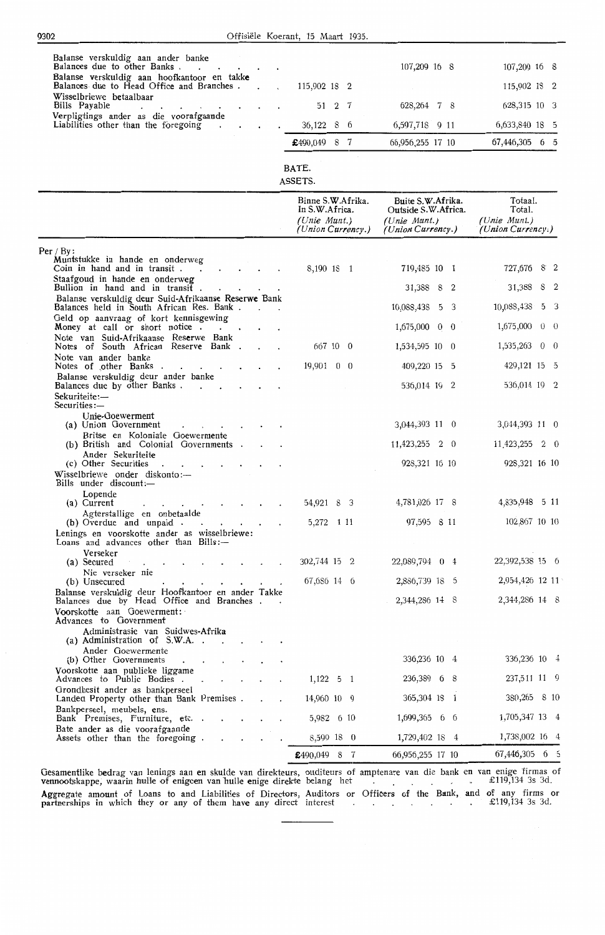| Balanse verskuldig aan ander banke                                                                              |                                     |                                          |                                   |
|-----------------------------------------------------------------------------------------------------------------|-------------------------------------|------------------------------------------|-----------------------------------|
| Balances due to other Banks.<br>Balanse verskuldig aan hoofkantoor en takke                                     |                                     | 107,209 16 8                             | 107,209 16 8                      |
| Balances due to Head Office and Branches.                                                                       | 115,902 18 2                        |                                          | 115,902 18 2                      |
| Wisselbriewe betaalbaar<br>Bills Payable<br>Verpligtings ander as die voorafgaande                              | 2 7<br>51                           | 628, 264 7 8                             | 628,315 10 3                      |
| Liabilities other than the foregoing                                                                            | 36,122<br>8 <sub>6</sub>            | 6,597,718 9 11                           | 6,633,840 18 5                    |
|                                                                                                                 | £490,049 8 7                        | 66,956,255 17 10                         | 67,446,305 6 5                    |
|                                                                                                                 | BATE.                               |                                          |                                   |
|                                                                                                                 | ASSETS.                             |                                          |                                   |
|                                                                                                                 | Binne S.W.Afrika.<br>In S.W.Africa. | Buite S.W.Afrika.<br>Outside S.W.Africa. | Totaal.<br>Total.                 |
|                                                                                                                 | (Unie Munt.)<br>(Union Currency.)   | (Unie Munt.)<br>(Union Currency.)        | (Unie Munt.)<br>(Union Currency.) |
| Per / $By:$                                                                                                     |                                     |                                          |                                   |
| Muntstukke in hande en onderweg<br>Coin in hand and in transit.                                                 | 8,190 18 1                          | 719,485 10 1                             | 727,676 8 2                       |
| Staafgoud in hande en onderweg<br>Bullion in hand and in transit.                                               |                                     | 31,388 8 2                               | 31,388 8 2                        |
| Balanse verskuldig deur Suid-Afrikaanse Reserwe Bank<br>Balances held in South African Res. Bank.               |                                     | 10.088,438 5 3                           | 10,088,438<br>5 <sup>3</sup>      |
| Geld op aanvraag of kort kennisgewing<br>Money at call or short notice                                          |                                     | 1,675,000<br>$0\quad 0$                  | 1,675,000<br>$0\quad 0$           |
| Note van Suid-Afrikaanse Reserwe Bank<br>Notes of South African Reserve Bank.                                   | 667 10 0                            | 1,534,595 10 0                           | 1,535,263 0 0                     |
| Note van ander banke<br>Notes of other Banks.                                                                   | $19,901 \quad 0 \quad 0$            | 409,220 15 5                             | 429,121 15 5                      |
| Balanse verskuldig deur ander banke<br>Balances due by other Banks.                                             |                                     | 536,014 19 2                             | 536,014 19 2                      |
| Sekuriteite :—<br>Securities :—                                                                                 |                                     |                                          |                                   |
| Unie-Goewerment<br>(a) Union Government                                                                         |                                     | 3,044,393 11 0                           | 3,044,393 11 0                    |
| Britse en Koloniale Goewermente                                                                                 |                                     |                                          |                                   |
| (b) British and Colonial Governments.<br>Ander Sekuriteite                                                      |                                     | $11,423,255$ 2 0                         | 11,423,255<br>2 0                 |
| (c) Other Securities<br>Wisselbriewe onder diskonto:-                                                           |                                     | 928,321 16 10                            | 928,321 16 10                     |
| Bills under discount:-<br>Lopende                                                                               |                                     |                                          |                                   |
| (a) Current<br>and the contract of the contract of the<br>$\bullet$<br>$\bullet$<br>Agterstallige en onbetaalde | 54,921 8 3                          | 4,781,026 17 8                           | 4,835,948 5 11                    |
| (b) Overdue and unpaid.<br>the contract of the con-<br>Lenings en voorskotte ander as wisselbriewe:             | 5,272 1 11                          | 97,595 8 11                              | 102,867 10 10                     |
| Loans and advances other than Bills:-<br>Verseker                                                               |                                     |                                          |                                   |
| (a) Secured<br>and the contract of the con-<br>and the company<br>Nie verseker nie                              | 302,744 15 2                        | 22,089,794 0 4                           | 22,392,538 15 6                   |
| (b) Unsecured<br>Balanse verskuldig deur Hoofkantoor en ander Takke                                             | 67,686 14 6                         | 2,886,739 18 5                           | 2,954,426 12 11                   |
| Balances due by Head Office and Branches                                                                        |                                     | 2,344,286 14 8                           | 2,344,286 14 8                    |
| Voorskotte aan Goewerment:<br>Advances to Government                                                            |                                     |                                          |                                   |
| Administrasie van Suidwes-Afrika<br>(a) Administration of $S.W.A.$ .<br>$\cdot$ $\cdot$                         |                                     |                                          |                                   |
| Ander Goewermente<br>(b) Other Governments                                                                      |                                     | 336,236 10 4                             | 336,236 10 4                      |
| Voorskotte aan publieke liggame<br>Advances to Public Bodies .<br>$\sim$ $ \sim$                                | $1,122$ 5 1                         | 236,389 6 8                              | 237,511 11 9                      |
| Grondbesit ander as bankperseel<br>Landed Property other than Bank Premises.                                    | 14,960 10 9                         | 365,304 18 1                             | 380,265 8 10                      |
| Bankperseel, meubels, ens.<br>Bank Premises, Furniture, etc.                                                    | 5,982 6 10                          | 1,699,365 6 6                            | 1,705,347 13 4                    |
| Bate ander as die voorafgaande<br>Assets other than the foregoing.                                              | 8,599 18 0                          | 1,729,402 18 4                           | 1,738,002 16 4                    |
|                                                                                                                 | £490,049 8 7                        | 66,956,255 17 10                         | 67,446,305 6 5                    |

Gesamentlike bedrag van lenings aan en skulde van direkteurs, ouditeurs of amptenare van die bank en van enige "firmas of vennootskappe, waarin hulle of enigeen van hulle enige direkte belang het  $\qquad \qquad$   $\qquad$   $\qquad$   $\qquad$  £119,134 3s 3d. Aggregate amount of Loans to and Liabilities of Directors, Auditors or Officers of the Bank, and of any firms or partnerships in which they or any of them have any direct interest £119,134 3s 3d.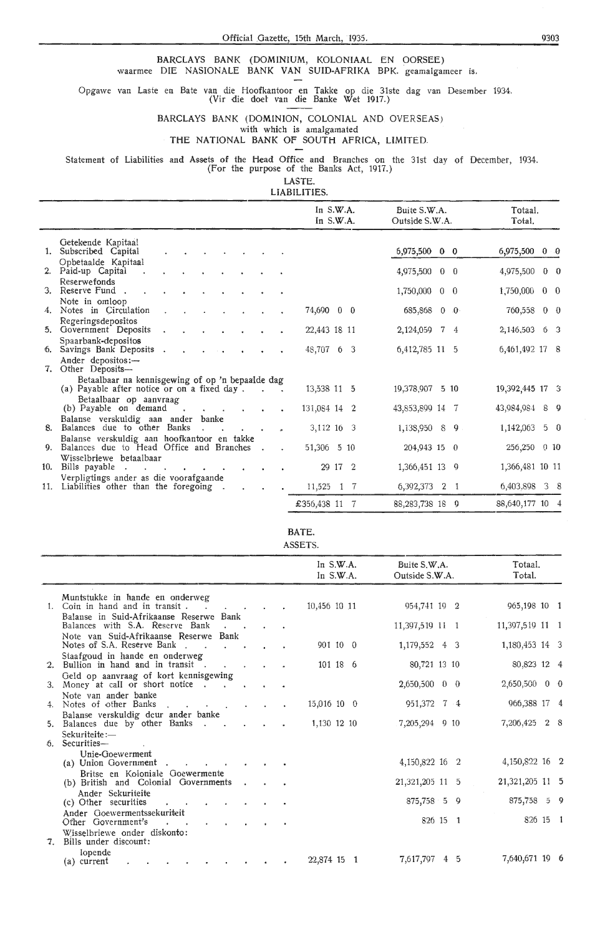BARCLAYS BANK (DOMINIUM, KOLONIAAL EN OORSEE) waarmee DIE NASIONALE BANK VAN SUID-AFRIKA BPK. geamalgameer is.

Opgawe van Laste en Bate van die Hoofkantoor en Takke op die 31ste dag van Desember 1934.

(Vir die doel van die Banke Wet 1917.)

BARCLAYS BANK (DOMINION, COLONIAL AND. OVERSEAS)

with which is amalgamated

## **THE** NATIONAL BANK OF SOUTH AFRICA, LIMITED

Statement of Liabilities and Assets of the Head Office and Branches on the 31st day of December, 1934. (For the purpose of the Banks Act, 1917.)

LASTE.

LIABILITIES.

|               |                                                                                    | In S.W.A.<br>In S.W.A. | Buite S.W.A.<br>Outside S.W.A. | Totaal.<br>Total.       |
|---------------|------------------------------------------------------------------------------------|------------------------|--------------------------------|-------------------------|
|               | Getekende Kapitaal<br>1. Subscribed Capital                                        |                        | 6,975,500 0 0                  | 6,975,500 0 0           |
|               | Opbetaalde Kapitaal                                                                |                        |                                |                         |
|               | 2. Paid-up Capital                                                                 |                        | 4,975,500<br>$0\quad 0$        | $0\quad 0$<br>4,975,500 |
|               | Reserwefonds<br>3. Reserve Fund.                                                   |                        | 1,750,000 0 0                  | 1,750,000<br>$0\quad 0$ |
|               | Note in omloop<br>4. Notes in Circulation                                          | 74,690 0 0             | 685,868 0 0                    | 760,558 0 0             |
|               | Regeringsdepositos<br>5. Government Deposits                                       | 22,443 18 11           | 2, 124, 059 7 4                | 2,146,503 6 3           |
| <sup>6.</sup> | Spaarbank-depositos<br>Savings Bank Deposits                                       | 48,707 6 3             | 6,412,785 11 5                 | 6,461,492 17 8          |
|               | Ander depositos: $-$<br>7. Other Deposits-                                         |                        |                                |                         |
|               | Betaalbaar na kennisgewing of op 'n bepaalde dag                                   |                        |                                |                         |
|               | (a) Payable after notice or on a fixed day.                                        | 13,538 11 5            | 19,378,907 5 10                | 19,392,445 17 3         |
|               | Betaalbaar op aanvraag<br>(b) Payable on demand<br>$\sim$ 100 $\mu$<br>$\bullet$   | 131,084 14 2           | 43,853,899 14<br>- 7           | 43,984,984 8 9          |
| 8.            | Balanse verskuldig aan ander banke<br>Balances due to other Banks                  | 3,112 16 3             | 1,138,950 8 9                  | $5\quad 0$<br>1,142,063 |
|               | Balanse verskuldig aan hoofkantoor en takke                                        |                        |                                |                         |
| 9.            | Balances due to Head Office and Branches                                           | 51,306 5 10            | 204,943 15 0                   | 256,250<br>0, 10        |
| 10.           | Wisselbriewe betaalbaar<br>Bills payable                                           | 29 17 2                | 1,366,451 13 9                 | 1,366,481 10 11         |
|               | Verpligtings ander as die voorafgaande<br>11. Liabilities other than the foregoing | 11,525 1 7             | 6,392,373 2 1                  | 6,403,898 3 8           |
|               |                                                                                    |                        |                                |                         |
|               |                                                                                    | £356,438 11            | 88, 283, 738 18 9              | 88, 640, 177 10 4       |

## BATE.

ASSETS.

|       |                                                                                                        |           |  | In $S.W.A.$<br>In $S.W.A.$ | Buite S.W.A.<br>Outside S.W.A. | Totaal.<br>Total. |
|-------|--------------------------------------------------------------------------------------------------------|-----------|--|----------------------------|--------------------------------|-------------------|
|       | Muntstukke in hande en onderweg<br>1. Coin in hand and in transit.                                     |           |  | 10,456 10 11               | 954,741 19 2                   | 965,198 10 1      |
|       | Balanse in Suid-Afrikaanse Reserwe Bank<br>Balances with S.A. Reserve Bank                             |           |  |                            | 11,397,519 11 1                | 11,397,519 11 1   |
|       | Note van Suid-Afrikaanse Reserwe Bank<br>Notes of S.A. Reserve Bank.<br>$\sim 10$                      |           |  | 901 10 0                   | 1,179,552 4 3                  | 1,180,453 14 3    |
|       | Staafgoud in hande en onderweg<br>2. Bullion in hand and in transit.                                   |           |  | 101 18 6                   | 80,721 13 10                   | 80,823 12 4       |
|       | Geld op aanvraag of kort kennisgewing<br>3. Money at call or short notice.<br><b>Contract Contract</b> |           |  |                            | 2,650,500 0 0                  | $2,650,500$ 0 0   |
|       | Note van ander banke<br>4. Notes of other Banks                                                        |           |  | $15,016$ 10 0              | 951,372 7 4                    | 966,388 17 4      |
|       | Balanse verskuldig deur ander banke<br>5. Balances due by other Banks<br>$\sim$                        |           |  | 1,130 12 10                | 7,205,294 9 10                 | 7,206,425 2 8     |
| 6.    | Sekuriteite:-<br>Securities-                                                                           |           |  |                            |                                |                   |
|       | Unie-Goewerment<br>(a) Union Government                                                                |           |  |                            | 4, 150, 822 16 2               | 4, 150, 822 16 2  |
|       | Britse en Koloniale Goewermente<br>(b) British and Colonial Governments                                | $\bullet$ |  |                            | 21,321,205 11 5                | 21,321,205 11 5   |
|       | Ander Sekuriteite<br>(c) Other securities                                                              |           |  |                            | 875,758 5 9                    | 875,758 5 9       |
|       | Ander Goewermentssekuriteit<br>Other Government's<br>$\bullet$                                         |           |  |                            | 826 15 1                       | 826 15 1          |
| $7 -$ | Wisselbriewe onder diskonto:<br>Bills under discount:                                                  |           |  |                            |                                |                   |
|       | lopende<br>(a) current                                                                                 |           |  | 22,874 15 1                | 7,617,797 4 5                  | 7,640,671 19 6    |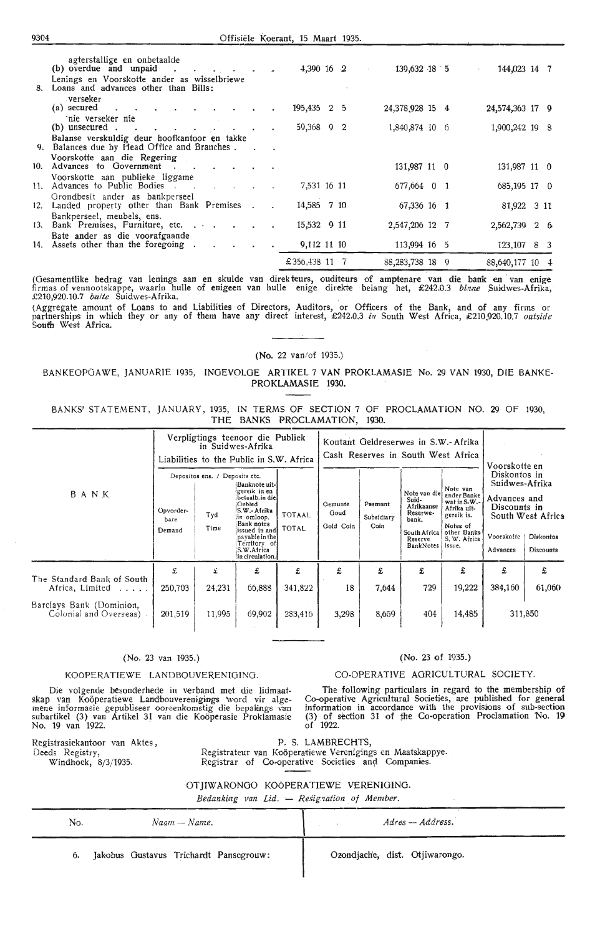## 9304 Offisiele koerant, 15 Maart 1935.

| 8.  | agterstallige en onbetaalde<br>(b) overdue and unpaid.<br>Lenings en Voorskotte ander as wisselbriewe<br>Loans and advances other than Bills: |  |                        | 4,390 16 2  |  | 139,632 18 5    |    | 144,023 14 7<br>$\sim 100$ |  |
|-----|-----------------------------------------------------------------------------------------------------------------------------------------------|--|------------------------|-------------|--|-----------------|----|----------------------------|--|
|     | verseker -<br>(a) secured<br>$\sim 100$ km s $^{-1}$<br><b>Contract Contract Contract Contract</b>                                            |  |                        | 195,435 2 5 |  | 24,378,928 15 4 |    | 24,574,363 17 9            |  |
|     | 'nie verseker nie<br>$(b)$ unsecured.<br>$\bullet$                                                                                            |  | $\bullet$              | 59,368 9 2  |  | 1,840,874 10 6  |    | 1,900,242 19 8             |  |
|     | Balanse verskuldig deur hoofkantoor en takke<br>9. Balances due by Head Office and Branches.                                                  |  |                        |             |  |                 |    |                            |  |
|     | Voorskotte aan die Regering<br>10. Advances to Government , .                                                                                 |  | <b>Contract Street</b> |             |  | 131,987 11 0    |    | 131,987 11 0               |  |
|     | Voorskotte aan publieke liggame<br>11. Advances to Public Bodies<br><b>All Controllers</b>                                                    |  |                        | 7,531 16 11 |  | 677,664 0 1     |    | 685,195 17 0               |  |
| 12. | Grondbesit ander as bankperseel<br>Landed property other than Bank Premises.                                                                  |  | $\sim$                 | 14,585 7 10 |  | 67,336 16 1     |    | 81,922 3 11                |  |
| 13. | Bankperseel, meubels, ens.<br>Bank Premises, Furniture, etc.                                                                                  |  |                        | 15,532 9 11 |  | 2,547,206 12 7  |    | 2,562,739 2 6              |  |
|     | Bate ander as die voorafgaande<br>14. Assets other than the foregoing.<br>$\sim$                                                              |  |                        | 9,112 11 10 |  | 113,994 16 5    |    | 123,107 8 3                |  |
|     |                                                                                                                                               |  |                        | £356,438 11 |  | 88, 283, 738 18 | -9 | 88,640,177 10 4            |  |

(Gesamentlike bedrag van lenings aan en skulde van direkteurs, ouditeurs of amptenare van dfe bank en · van enige firmas of vennootskappe, waarin hulle of enigeen van hulle enige direkte be[ang het, £242.0.3 *bbuze* .Suidwes-Afrika, £210,920.10.7 *buite* Suidwes-Afrika.

(Aggregate amount of Loans to and Liabilities of Directors, Auditors, or Officers of the Bank, and of any firms or<br>partnerships in which they or any of them have any direct interest, £242.0.3 in South West Africa, £210,920 South West Africa.

## (No. 22 van/of 1935.)

## BANKEOPGAWE, JANUARIE 1935, INGEVOLGE ARTIKEL 7 VAN PROKLAMASIE No. 29 VAN 1930, DIE BANKE-PROKLAMASIE 1930.

BANKS' STATEMENT, JANUARY, 1935, !N TERMS OF SECTION 7 OF PROCLAMATION NO. 29 OF 1930, THE BANKS PROCLAMATION, 1930.

|                                                     |                             |                                               | Verpligtings teenoor die Publiek<br>in Suidwes-Afrika<br>Liabilities to the Public in S.W. Africa                                                                                             |                               | Kontant Geldreserwes in S.W.- Afrika<br>Cash Reserves in South West Africa                                                                                                                                                                   |                                                                                                                           |                                                                                                                                                          |        |         |         |
|-----------------------------------------------------|-----------------------------|-----------------------------------------------|-----------------------------------------------------------------------------------------------------------------------------------------------------------------------------------------------|-------------------------------|----------------------------------------------------------------------------------------------------------------------------------------------------------------------------------------------------------------------------------------------|---------------------------------------------------------------------------------------------------------------------------|----------------------------------------------------------------------------------------------------------------------------------------------------------|--------|---------|---------|
| BANK                                                | Opvorder-<br>bare<br>Demand | Depositos ens. / Deposits etc.<br>Tyd<br>Time | Banknote uit-<br>!gereik in en<br>betaalb.in diel<br>Gebied<br>S.W.- Afrika<br>iin omloop.<br>Bank notes<br>issued in andl<br>payable in the<br>Territory of<br>S.W.Africa<br>in circulation. | <b>TOTAAL</b><br><b>TOTAL</b> | Note van die<br>Suid-<br>Gemunte<br>Pasmunt<br>Afrikaanse<br>Goud<br>Reserwe-<br>Subsidiary<br>bank.<br>Coin<br>Gold Coin<br>South Africa<br>Reserve<br>BankNotes<br>£<br>£<br>£<br>£<br>18<br>341,822<br>7,644<br>283,416<br>3,298<br>8,659 | Note van<br>ander Banke<br>wat in S.W.-<br>Afrika uit-<br>gereik is.<br>Notes of<br>other Banks<br>S. W. Africa<br>issue. | Voorskotte en<br>Diskontos in<br>Suidwes-Afrika<br>Advances and<br>Discounts in<br>South West Africa<br>Voorskotte<br>Diskontos<br>Advances<br>Discounts |        |         |         |
|                                                     | £                           | £                                             | £                                                                                                                                                                                             |                               |                                                                                                                                                                                                                                              |                                                                                                                           |                                                                                                                                                          | £      | £       | £       |
| The Standard Bank of South<br>Africa, Limited       | 250,703                     | 24,231                                        | 66,888                                                                                                                                                                                        |                               |                                                                                                                                                                                                                                              |                                                                                                                           | 729                                                                                                                                                      | 19,222 | 384,160 | 61,060  |
| Barclays Bank (Dominion,<br>Colonial and Overseas). | 201,519                     | 11,995                                        | 69,902                                                                                                                                                                                        |                               |                                                                                                                                                                                                                                              |                                                                                                                           | 404                                                                                                                                                      | 14,485 |         | 311,850 |

## (No. 23 van 1935.)

## KO0PERATIEWE LANDBOUVERENIOINO.

Die volgende besonderhede in verband met die lidmaat skap van Koöperatiewe Landbouverenigings word vir alge-<br>mene informasie gepubliseer ooreenkomstig die bepalings van<br>subartikel (3) van Artikel 31 van die Koöperasie Proklamasie No. 19 van 1922.

Registrasiekantoor van Aktes,

Windhoek, 8/3/1935.

Deeds Registry,

The following particulars in regard to the membership of Co-operative Agricultural Societies, are published for general information in accordance with the provisions of sub-section (3) of section 31 of the Co-operation Proclamation No. **19**  of 1922.

P. S. LAMBRECHTS,

Registrateur van Koöperatiewe Verenigings en Maatskappye. Registrar of Co-operative Societies and Companies.

OT JIWARONGO KOÖPERATIEWE VERENIGING.

*Bedanking van Lid.* - *Resignation of Member.* 

| No. | $N$ aam — Name.                        | Adres — Address.               |
|-----|----------------------------------------|--------------------------------|
| 6.  | Jakobus Gustavus Trichardt Pansegrouw: | Ozondjache, dist. Otjiwarongo. |

## (No. 23 of 1935.)

## CO-OPERATIVE AGRICULTURAL SOCIETY.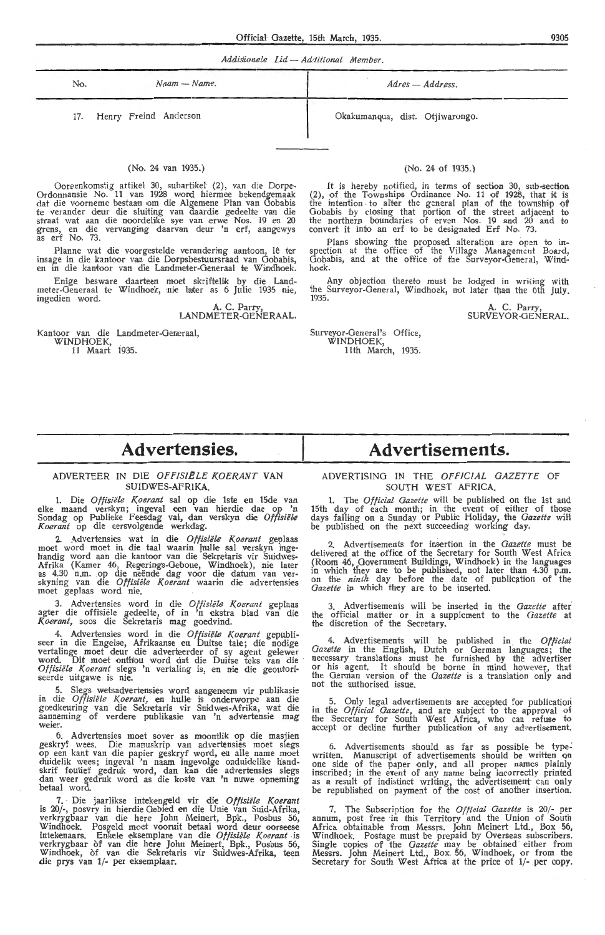*Addiiionele Lid* - *Additional Member.* 

| No. | $N$ aam -- $N$ ame.       | Adres — Address.                |
|-----|---------------------------|---------------------------------|
|     | 17. Henry Freind Anderson | Okakumanqua, dist. Otjiwarongo. |

#### (No. 24 van 1935.)

Ooreenkomstig artikel 30, subartikel (2), van die Dorpe-Ordonnansie No. 11 van 1928 word hiermee bekendgemaak dat die voorneme bestaan om die Algemene Plan van Gobabis te verander deur die sluiting van daardie gedeelte van die straat wat aan die noordelike sye van erwe Nos. 19 en 20 grens, en die vervanging daarvan deur 'n erf, aangewys<br>as erf No. 73.

Planne wat die voorgestelde verandering aantoon, lê ter insage in die kantoor van die Dorpsbestuursraad van Gobabis, en in die kantoor van die Landmeter-Generaal te Windhoek

Enige besware daarteen moet skriftelik by die Landrneter-Generaal te Windhoek, nie tater as 6 Julie 1935 nie, ingedien word.

A. C. Parry,<br>LANDMETER-GENERAAL.

Kantoor van die Landmeter-Generaal, WINDHOEK, 11 Maart i935.

#### (No. 24 of 1935.)

It is hereby notified, in terms of section 30, sub-section (2), of the Townships Ordinance No. 11 of 1928, that it is the intention to alter the general plan of the township of Gobabis by closing that portion of the street adjacent to the northern boundaries of erven Nos. 19 and 20 and to convert it into an erf to be designated Erf No. 73.

Plans showing the proposed alteration are open to inspection at the office of the Village Management Board, Gobabis, and at the office of the Surveyor-General, Windhoek.

Any objection thereto must be lodged in writing with the Surveyor-General, Windhoek, not later than the 6th July. 1935.

> **A.** C. Parry, SURVEYOR-GENERAL.

Surveyor-General's Office, WINDHOEK, 11th March, 1935.

# **Advertensies.**

## ADVERTEER IN DIE *OFFISIELE KOERANT* VAN SUIDWES-AFRIKA.

1. Die *Offisiële Koerant* sal op die 1ste en 15de van elke maand verskyn; ingeval een van hierdie dae op 'n Sondag op Publieke Feesdag val, dan verskyn die Offisiële Koerant op die eersvolgende werkdag.

2. Advertensies wat in die Offisiële Koerant geplaas moet word moet in die taal waarin hulle sal verskyn ingehandig word aan die kantoor van die Sekretaris vir Suidwes-Afrika (Kamer 46, Regerings-Geboue, Windhoek), nie later as 4.30 n.m. op die neende dag voor die datum van ver-<br>skyning van die *Offisiële Koerant* waarin die advertensies moet geplaas word nie.

3. Advertensies word in die Offisiële Koerant geplaas agter die offisiële gedeelte, of in 'n ekstra blad van die<br>Koerant, soos die Sekretaris mag goedvind.

4. Advertensies word in die Offisiële Koerant gepubli-<br>seer in die Engelse, Afrikaanse en Duitse tale; die nodige vertalinge moet deur die adverteerder of sy agent gelewer word. Dit moet onthou word dat die Duitse teks van die Offisiële Koerant slegs 'n vertaling is, en nie die geoutoriseerde uitgawe is nie.

5. Slegs wetsadvertensies word aangeneem vir publikasie in die *Offisiële Koerant*, en hulle is onderworpe aan die<br>goedkeuring van die Sekretaris vir Suidwes-Afrika, wat die<br>aanneming of verdere publikasie van 'n advertensie mag weier.

6. Advertensies moet sover as moontlik op die masjien geskryf wees. Die manuskrip van advertensies moet slegs op een kant van die papier geskryf word, en alle name moet duidelik wees; ingeval 'n naam ingevolge onduidelike handskrif foutief gedruk word, dan kan die advertensies slegs dan weer gedruk word as die koste van 'n nuwe opneming betaal word.

7. Die jaarlikse intekengeld vir die Offisiële Koerant is 20/-, posvry in hierdie Geoied en die Unie van Suid-Afrika, verkrygbaar van die here John Meinert, Bpk., Posbus 56, Windhoek. Posgeld moet vooruit betaal word deur oorseese intekenaars. Enkele eksemplare van die Offisiële Koerant is verkrygbaar of van die here John Meinert, Bpk., Posbus 56, Windhoek, of van die Sekretaris vir Suidwes-Afrika, teen die prys van 1/- per eksemplaar.

# ADVERTISING IN THE *OFP/C!AL GAZETTE* Of

**Advertisements.** 

## SOUTH WEST AFRICA 1. The *Official Gazette* will be published on the 1st and

15th day of each month; in the event of either of those days falling on a Sunday or Public Holiday, the *Gazette* wiH be published on the next succeeding working day.

2. Advertisements for insertion in the *Gazette* must be delivered at the office of the Secretary for South West Africa (Room 46, Government Buildings, Windhoek) in the languages in which they are to be published, not later than 4.30 p.rn. on the *ninth* day before the date of publication of the Gazette in which they are to be inserted.

3. Advertisements will be inserted in the *Gazette* after the official matter or in a supplement to the *Gazette* at the discretion of the Secretary.

4. Advertisements will be published in the *Official Gazette* in the English, Dutch or German languages; the necessary translations must be furnished by the advertiser or his agent. It should be borne in mind however, that the German version of the *Gazette* is a translation only and not the authorised issue.

5. Only legal advertisements are accepted for publication in the *Official Gazette*, and are subject to the approval of the Secretary for South West Africa, who can refuse to accept or decline further publication of any advertisement.

6. Advertisements should as far as possible be type-<br>written. Manuscript of advertisements should be written on<br>one side of the paper only, and all proper names plainly inscribed; in the event of any name being incorrectly printed as a result of indistinct writing, the advertisement can only be republished on payment of the cost of another insertion.

7. The Subscription for the *Official Gazette* is 20/- per annum, post free in this Territory and the Union of South Africa obtainable from Messrs. John Meinert Ltd., Box 56, Windhoek. Postage must be prepaid by Overseas subscribers.<br>Single copies of the *Gazette* may be obtained either from Messrs. John Meinert Ltd., Box. 56, Windhoek, or from the Secretary for South West Africa at the price of 1/- per copy.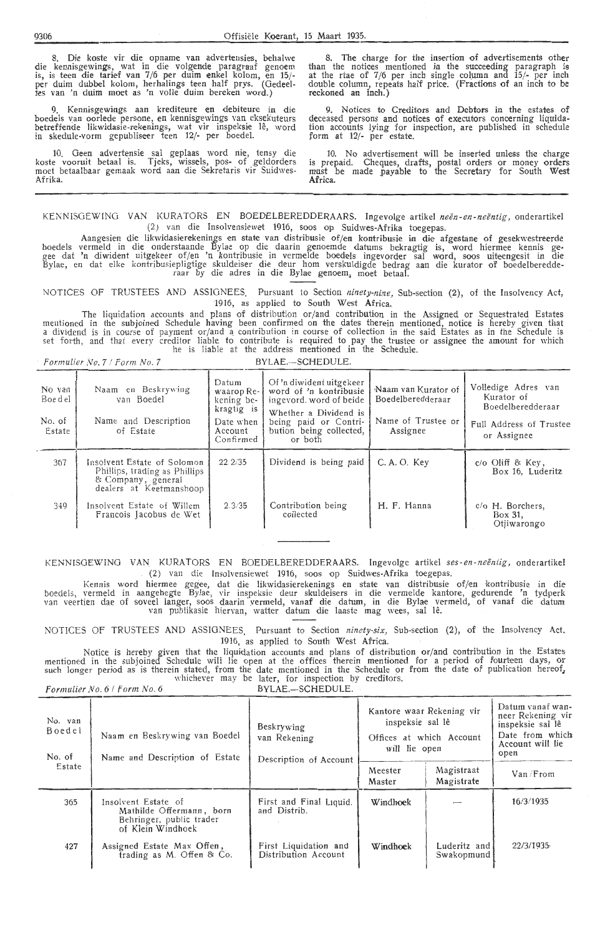8. Die koste vir die opname van advertensies, behalwe die kennisgewings, wat in die volgende paragraaf genoem<br>is, is teen die tarief van 7/6 per duim enkel kolom, en 15/-<br>per duim dubbel kolom, herhalings teen half prys. (Gedeelper duim dubbel kolom, herhalings teen half prys. (G tes van 'n duim moet as 'n volle duim bereken word.)

Kennisgewings aan krediteure en debiteure in die boedels van oorlede persone, en kennisgewings van eksekuteurs betreffende likwidasie-rekenings, wat vir inspeksie lê, word in skedule-vorm gepubliseer teen 12/- per boedel.

10. Geen advertensie sal geplaas word nie, tensy die koste vooruit betaal is. Tjeks, wissels, pos- of geldorders moet betaalbaar gemaak word aan die Sekretaris vir Suidwes-Afrika.

8. The charge for the insertion of advertisements other than the notices mentioned in the succeeding paragraph is at the rtae of  $7/6$  per inch single column and  $15/$ - per inch double column, repeats half price. (Fractions of an inch to be reckoned an inch.)

9. Notices *to* Creditors and Debtors in the estates of deceased persons and notices of executors concerning liquidation accounts lying for inspection, are published in schedule form at 12/- per estate.

10. No advertisement will be inserted unless the charge is prepaid. Cheques, drafts, postal orders or money orders must be made payable to the Secretary for South West **Africa.** 

KENNISGEWING VAN KURATORS EN BOEDELBEREDDERAARS. Ingevolge artikel *neën-en-neëntig*, onderartikel (2) van die Insolvensiewet 1916, soos op Suidwes-Afrika toegepas.

Aangesien die likwidasierekenings en state van distribusie of/en kontribusie in die afgestane of gesekwestreerde boedels vermeld in die onderstaande Bylae op die daarin genoemde datums bekragtig is, word hiermee kennis gegee dat 'n diwident uitgekeer of/en 'n kontribusie in vermelde boedels ingevorder sal word, soos uiteengesit in die Bylae, en dat elke kontribusiepligtige skuldeiser die deur hom verskuldigde bedrag aan die kurator of boedelberedde-<br>raar by die adres in die Bylae genoem, moet betaal.

NOTICES OF TRUSTEES AND ASSIGNEES. Pursuant to Section *ninety-nine*, Sub-section (2), of the Insolvency Act, 1916, as applied to South West Africa.

The liquidation accounts and plans of distribution or/and contribution in the Assigned or Sequestrated Estates mentioned in the subjoined Schedule having been confirmed on the dates therein mentioned, notice is hereby given that a dividend is in course of payment or/and a contribution in course of collection in the said Estates as in the Schedule is set forth, and that every creditor liable to contribute is required to pay the trustee or assignee the amount for which he is liable at the address mentioned in the Schedule.

*Formulier No. 7 / Form No. 7* BYLAE.-SCHEDULE.

| No van<br>Boe d el<br>No. of<br>Estate | Naam en Beskrywing<br>van Boedel<br>Name and Description<br>of Estate                                         | Datum<br>waarop Re-<br>kening be-<br>kragtig is<br>Date when<br>Account<br>Confirmed | Of 'n diwident uitgekeer<br>word of 'n kontribusie<br>ingevord, word of beide<br>Whether a Dividend is<br>being paid or Contri-<br>bution being collected,<br>or both | Naam van Kurator of<br>Boedelberedderaar<br>Name of Trustee or<br>Assignee | Volledige Adres van<br>Kurator of<br>Boedelberedderaar<br>Full Address of Trustee<br>or Assignee |
|----------------------------------------|---------------------------------------------------------------------------------------------------------------|--------------------------------------------------------------------------------------|-----------------------------------------------------------------------------------------------------------------------------------------------------------------------|----------------------------------------------------------------------------|--------------------------------------------------------------------------------------------------|
| 367                                    | Insolvent Estate of Solomon<br>Phillips, trading as Phillips<br>& Company, general<br>dealers at Keetmanshoop | 22.2/35                                                                              | Dividend is being paid                                                                                                                                                | C.A.O. Key                                                                 | $c/o$ Oliff & Key,<br>Box 16. Luderitz                                                           |
| 349                                    | Insolvent Estate of Willem<br>Francois Jacobus de Wet                                                         | 2.3/35                                                                               | Contribution being<br>collected                                                                                                                                       | H. F. Hanna                                                                | c/o H. Borchers,<br>Box 31,<br>Otjiwarongo                                                       |

KENNISGE\X'INO VAN KURA TORS EN BOEDELBEREDDERAARS. Ingevolge artikel *ses-en -neentig,* onderartikef (2) van die Insolvensiewet 1916, soos op Suidwes-Afrika toegepas.

Kennis word hiermee gegee, dat die likwidasierekenings en state van distribusie of/en kontribusie in die boedels, vermeld in aangehegte Bylae, vir inspeksie deur skuldeisers in die vermelde kantore, gedurende 'n tydperk van veertien dae of soveel langer, soos daarin vermeld, vanaf die datum, in die Bylae vermeld, of vanaf die datum van publikasie hiervan, watter datum die laaste mag wees, sal le.

NOTICES OF TRUSTEES AND ASSIGNEES. Pursuant to Section *ninety-six*, Sub-section (2), of the Insolvency Act. 1916, as applied *to* South West Africa.

Notice is hereby given that the liquidation accounts and plans of distribution or/and contribution in the Estates mentioned in the subjoined Schedule will lie open at the offices therein mentioned for a period of fourteen days, or<br>such longer period as is therein stated, from the date mentioned in the Schedule or from the date of publ whichever may be later, for inspection by creditors.<br> *Formulier No. 6 / Form No. 6* **BYLAE.—SCHEDULE.** 

| No. van<br>Boedel<br>No. of | Naam en Beskrywing van Boedel<br>Name and Description of Estate                                  | Beskrywing<br>van Rekening<br>Description of Account | Kantore waar Rekening vir<br>inspeksie sal lê<br>Offices at which Account<br>will lie open |                            | Datum vanaf wan-<br>neer Rekening vir<br>inspeksie sal lê<br>Date from which<br>Account will lie<br>open |
|-----------------------------|--------------------------------------------------------------------------------------------------|------------------------------------------------------|--------------------------------------------------------------------------------------------|----------------------------|----------------------------------------------------------------------------------------------------------|
| Estate                      |                                                                                                  |                                                      | Meester<br>Master                                                                          | Magistraat<br>Magistrate   | Van /From                                                                                                |
| 365                         | Insolvent Estate of<br>Mathilde Offermann, born<br>Behringer, public trader<br>of Klein Windhoek | First and Final Liquid.<br>and Distrib.              | Windhoek                                                                                   |                            | 16/3/1935                                                                                                |
| 427                         | Assigned Estate Max Offen,<br>trading as M. Offen & Co.                                          | First Liquidation and<br>Distribution Account        | Windhoek                                                                                   | Luderitz and<br>Swakopmund | 22/3/1035                                                                                                |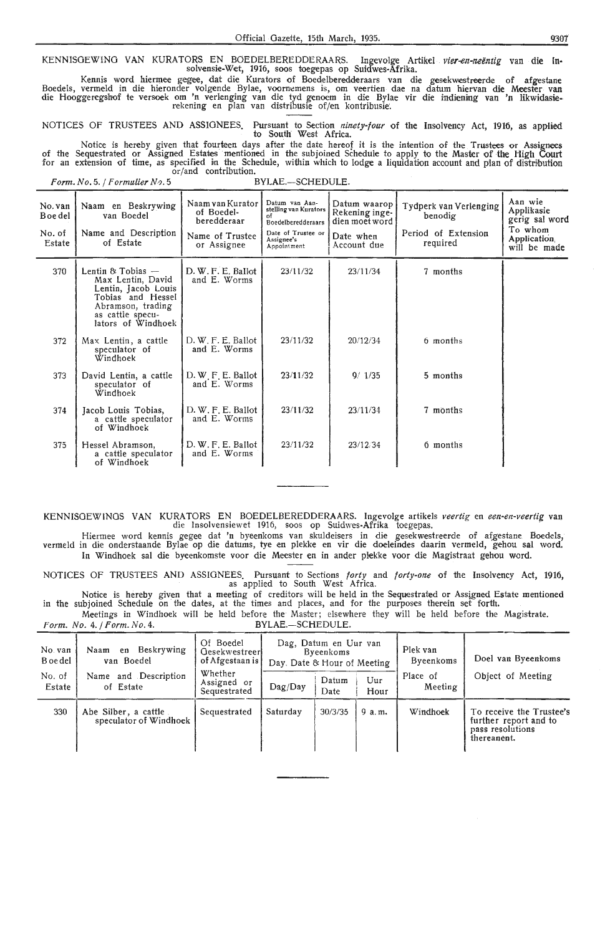KENNISGEWING VAN KURATORS EN BOEDELBEREDDERAARS. Ingevolge Artikel *vier-en-neëntig* van die ln-<br>solvensie-Wet, 1916, soos toegepas op Suidwes-Afrika.

Kennis word hiermee gegee, dat die Kurators of Boedelberedderaars van die gesekwestreerde of afgestane<br>Boedels, vermeld in die hieronder volgende Bylae, voornemens is, om veertien dae na datum hiervan die Meester van<br>die H rekening en plan van distribusie of/en kontribusie.

NOTICES OF TRUSTEES AND ASSIGNEES. Pursuant to Section *ninety-four* of the Insolvency Act, 1916, as applied to South West Africa.

Notice is hereby given that fourteen days after the date hereof it is the intention of the Trustees or Assignees of the Sequestrated or Assigned Estates mentioned in the subjoined Schedule to apply to the Master of the High Court for an extension of time, as specified in the Schedule, within which to lodge a liquidation account and plan of distribution or/and contribution.

*Form. No.* 5. / *Formalier N•J.* 5 BYLAE.-SCHEDULE.

*Form. No. 4. / Form. No. 4.* 

| No. van<br>B oe del<br>No. of<br>Estate | Naam en Beskrywing<br>van Boedel<br>Name and Description<br>of Estate                                                                                      | Naam van Kurator<br>of Boedel-<br>heredderaar<br>Name of Trustee<br>or Assignee | Datum van Aan-<br>stelling van Kurators<br>Boedelberedderaars<br>Date of Trustee or<br>Assignee's<br>Appointment | Datum waarop<br>Rekening inge-<br>dien moet word<br>Date when<br>Account due | Tydperk van Verlenging<br>benodig<br>Period of Extension<br>required | Aan wie<br>Applikasie<br>gerig sal word<br>To whom<br><b>Application</b><br>will be made |
|-----------------------------------------|------------------------------------------------------------------------------------------------------------------------------------------------------------|---------------------------------------------------------------------------------|------------------------------------------------------------------------------------------------------------------|------------------------------------------------------------------------------|----------------------------------------------------------------------|------------------------------------------------------------------------------------------|
| 370                                     | Lentin $& \text{Tobias}$ —<br>Max Lentin, David<br>Lentin, Jacob Louis<br>Tobias and Hessel<br>Abramson, trading<br>as cattle specu-<br>lators of Windhoek | D. W. F. E. Ballot<br>and E. Worms                                              | 23/11/32                                                                                                         | 23/11/34                                                                     | 7 months                                                             |                                                                                          |
| 372                                     | Max Lentin, a cattle<br>speculator of<br>Windhoek                                                                                                          | D. W. F. E. Ballot<br>and E. Worms                                              | 23/11/32                                                                                                         | 20/12/34                                                                     | 6 months                                                             |                                                                                          |
| 373                                     | David Lentin, a cattle<br>speculator of<br>Windhoek                                                                                                        | D. W. F. E. Ballot<br>and E. Worms                                              | 23/11/32                                                                                                         | 9/1/35                                                                       | 5 months                                                             |                                                                                          |
| 374                                     | Jacob Louis Tobias,<br>a cattle speculator<br>of Windhoek                                                                                                  | D. W. F. E. Ballot<br>and E. Worms                                              | 23/11/32                                                                                                         | 23/11/34                                                                     | 7 months                                                             |                                                                                          |
| 375                                     | Hessel Abramson,<br>a cattle speculator<br>of Windhoek                                                                                                     | D. W. F. E. Ballot<br>and E. Worms                                              | 23/11/32                                                                                                         | 23/12/34                                                                     | 6 months                                                             |                                                                                          |

KENNISOEWINGS VAN KURATORS EN BOEDELBEREDDERAARS. Ingevolge artikels *veertig* en *een·en-veertig* van die Insolvensiewet 1916, soos op Suidwes-Afrika. toegepas. ·

Hiermee word kennis gegee dat 'n byeenkoms van skuldeisers in die gesekwestreerde of afgestane. Boedels, vermeld in die onderstaande Bylae op die datums, tye en plekke en vir die doeleindes daarin vermeld, gehou sal word. In Windhoek sal die byeenkomste voor die Meester en in ander plekke voor die Magistraat gehou word.

NOTICES OF TRUSTEES AND ASSIGNEES. Pursuant to Sections *forty* and *forty-one* of the Insolvency Act, 1916, as applied to South West Africa.

Notice is hereby given that a meeting of creditors will be held in the Sequestrated or Assigned Estate mentioned in the subjoined Schedule on the dates, at the times and places, and for the purposes ther-ein set forth. Meetings in Windhoek will be held before the Master; elsewhere they will be held before the Magistrate.<br>  $o. 4. / Form. No. 4.$  BYLAE.-SCHEDULE.

| No. van<br>B oe del<br>No. of | Beskrywing<br>Naam<br>en<br>van Boedel<br>Name and Description | Of Boedel<br>Gesekwestreer<br>of Afgestaan is<br>Whether<br>Assigned or | Dag, Datum en Uur van<br>Byeenkoms<br>Day. Date & Hour of Meeting<br>Datum<br>Uur |         | Plek van<br>Byeenkoms<br>Place of | Doel van Byeenkoms<br>Object of Meeting |                                                                                      |
|-------------------------------|----------------------------------------------------------------|-------------------------------------------------------------------------|-----------------------------------------------------------------------------------|---------|-----------------------------------|-----------------------------------------|--------------------------------------------------------------------------------------|
| Estate                        | of Estate                                                      | Sequestrated                                                            | Dag/Day                                                                           | Date    | Hour                              | Meeting                                 |                                                                                      |
| 330                           | Abe Silber, a cattle<br>speculator of Windhoek                 | Sequestrated                                                            | Saturday                                                                          | 30/3/35 | 9 a.m.                            | Windhoek                                | To receive the Trustee's<br>further report and to<br>pass resolutions<br>thereanent. |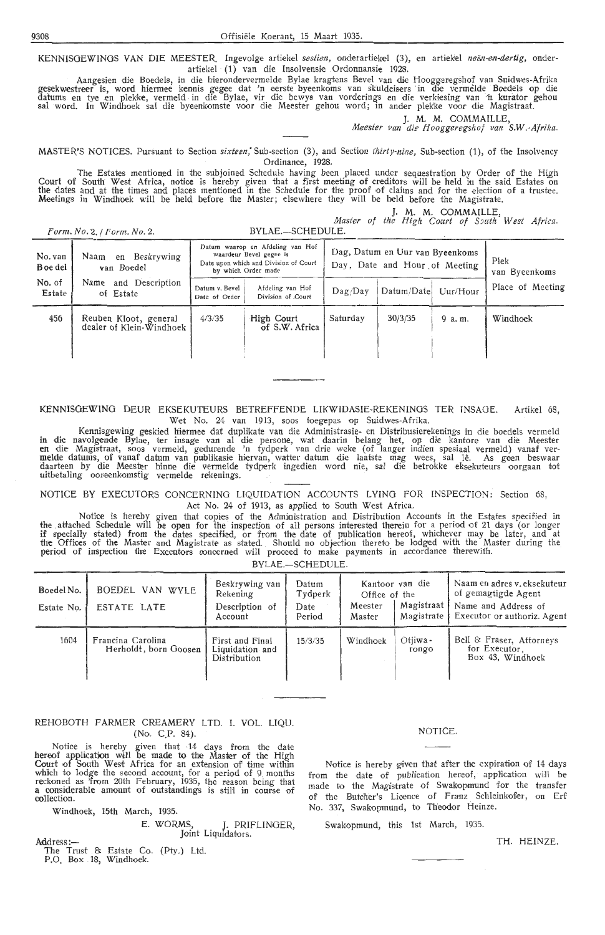KENNISGEWINGS VAN DIE MEESTER. Ingevolge artiekel sestien, onderartiekel (3), en artiekel neën-en-dertig, onderartiekel (1) van die Insolvensie Ordonnansie 1928.

Aangesien die Boedels, in die hierondervermelde Bylae kragtens Bevel van die Hooggeregshof van Suidwes-Afrika gesekwestreer is, word hiermee kennis gegee dat 'n eerste byeenkoms van skuldeisers in die vermelde Boedels op die datums en tye en plekke, vermeld in die Bylae, vir die bewys van vorderings en die verkiesing van 'n kurator gehou sal word. In Windhoek sal die byeenkomste voor die Meester gehou word; in ander plekke voor die Magistraat.

J. **M. M.** COMMAILLE, *Meester van die Hoogger.egshof van S.W.-Afrika.* 

**MASTER'S NOTICES.** Pursuant to Section *sixteen*, Sub-section (3), and Section *thirty-nine*, Sub-section (1), of the Insolvency Ordinance, 1928.

The Estates mentioned in the subjoined Schedule having been placed under sequestration by Order of the High Court of South West Africa, notice is hereby given that a first meeting of creditors will be held in the said Estates on<br>the dates and at the times and places mentioned in the Schedule for the proof of claims and for the e Meetings in Windhoek will be held before the Master; elsewhere they will be held before the Magistrate.

**J. M. M. COMMAILLE,** *Master of the High Court of South West Africa.* 

*Form. No.* 2. */Form. No.* 2. BYLAE.-SCHEDULE.

| No. van<br>B oe del | Beskrywing<br>Naam<br>en<br>van Boedel            |                                 | Datum waarop en Afdeling van Hof<br>waardeur Bevel gegee is<br>Date upon which and Division of Court<br>by which Order made |          | Dag, Datum en Uur van Byeenkoms<br>Day, Date and Hour of Meeting |          |                  |
|---------------------|---------------------------------------------------|---------------------------------|-----------------------------------------------------------------------------------------------------------------------------|----------|------------------------------------------------------------------|----------|------------------|
| No. of<br>Estate    | and Description<br>Name<br>of Estate              | Datum v. Bevel<br>Date of Order | Afdeling van Hof<br>Division of Court                                                                                       | Dag/Dav  | Datum/Date                                                       | Uur/Hour | Place of Meeting |
| 456                 | Reuben Kloot, general<br>dealer of Klein-Windhoek | 4/3/35                          | High Court<br>of S.W. Africa                                                                                                | Saturday | 30/3/35                                                          | 9a.m.    | Windhoek         |

KENNISGEWING DEUR EKSEKUTEURS BETREFFENDE LIKWIDASIE-REKENINGS TER INSAGE. Artikel 68, Wet No. 24 van 1913, soos toegepas op Suidwes-Afrika.

Kennisgewing geskied hiermee dat duplikate van die Administrasie- en Distribusierekenings in die boedels vermeld in die navolgende Bylae, ter insage van al die persone, wat daarin belang het, op die kantore van die Meester<br>en die Magistraat, soos vermeld, gedurende 'n tydperk van drie weke (of langer indien spesiaal vermeld) vanaf<br>me uitbetaling ooreenkomstig vermelde rekenings.

NOTICE BY EXECUTORS CONCERNING LIQUIDATION ACCOUNTS LYING FOR INSPECTION: Section 68, Act No. 24 of 1913, as applied to South West Africa.

Notice is hereby given that copies of the Administration and Distribution Accounts in the Estates specified in the attached Schedule will be open for the inspection of all persons interested therein for a period of 21 days (or longer<br>if specially stated) from the dates specified, or from the date of publication hereof, whichever ma the Offices of the Master and Magistrate as stated. Should no objection thereto be 1-odged with the Master during the period of inspection the Executors concerned will proceed to make payments in accordance therewith. BYLAE.-SCHEDULE.

| Boedel No.<br>Estate No. | BOEDEL VAN WYLE<br>ESTATE LATE             | Beskrywing van<br>Rekening<br>Description of<br>Account | Datum<br>Tydperk<br>Date<br>Period | Office of the<br>Meester<br>Master | Kantoor van die<br>Magistraat  <br>Magistrate | Naam en adres v. eksekuteur<br>of gemagtigde Agent<br>Name and Address of<br>Executor or authoriz. Agent |
|--------------------------|--------------------------------------------|---------------------------------------------------------|------------------------------------|------------------------------------|-----------------------------------------------|----------------------------------------------------------------------------------------------------------|
| 1604                     | Francina Carolina<br>Herholdt, born Goosen | First and Final<br>Liquidation and<br>Distribution      | 15/3/35                            | Windhoek                           | Otiiwa -<br>rongo                             | Bell & Fraser, Attorneys<br>for Executor,<br>Box 43, Windhoek                                            |

## REHOBOTH FARMER CREAMERY LTD. I. VOL. LIQU. (No. C.P. 84).

Notice is hereby given that 14 days from the date hereof application will be made to the Master of the High Court of South West Africa for an extension of time within which to lodge the seoond acoount, for a period of 9. months reckoned as 'from 20th February, 1935, the reason being that a considerable amount of outstandings is still in course of collection.

Windhoek, 15th March, 1935.

## E. WORMS, J. PRIFLINOER, Address:-

The Trust & Estate Co. (Pty.) Ltd. P.O. Box 18, Windhoek.

## NOTICE.

Notice is hereby given that after the expiration of 14 days from the date of publication hereof, application will be made to the Magistrate of Swakopmund for the transfer of the Butcher's Licence of Franz Schleinkofer, on Erf No. 337, Swakopmund, to Theodor Heinze.

Swakopmund, this 1st March, 1935.

TH. HEINZE.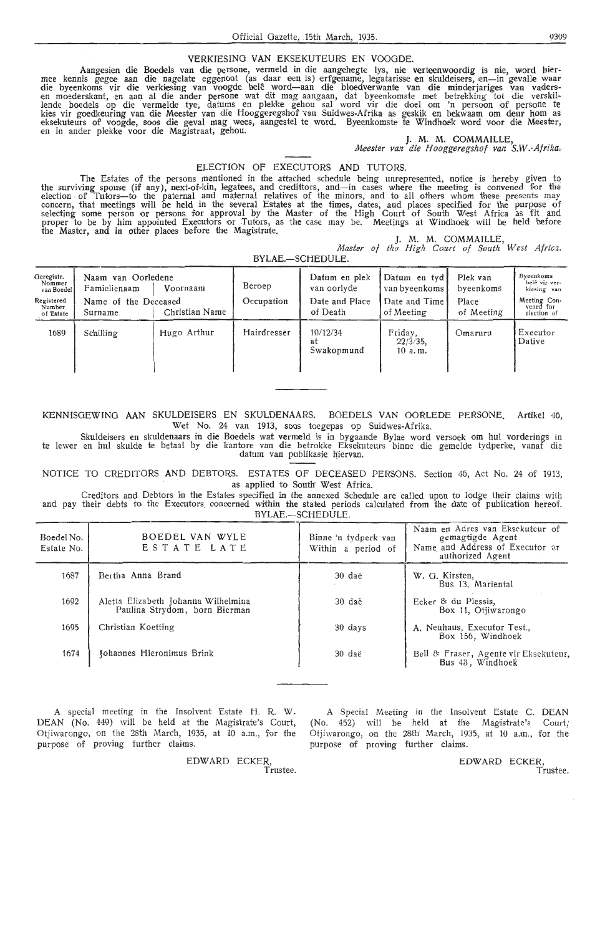## VERKIESINO **VAN** EKSEKUTEURS EN VOOODE.

Aangesien die Boedels van die persone, vermeld in die aangehegte lys, nie verteenwoordig is nie, word hier-<br>mee kennis gegee aan die nagelate eggenoot (as daar een is) erfgename, legatarisse en skuldeisers, en—in gevalle w lende boedels op die vermelde tye, datums en plekke gehou sal word vir die doel om 'n persoon of persone te kies vir goedkeuring van die Meester van die Hooggeregshof van Suidwes-Afrika as geskik en bekwaam om deur hom as<br>eksekuteurs of voogde, soos die geval mag wees, aangestel te word. Byeenkomste te Windhoek word voor die Me

]. **M. M.** COMMAILLE,

Meester van die Hooggeregshof van S.W.-Afrika.

## ELECTION OF EXECUTORS AND TUTORS.

The Estates of the persons mentioned in the attached schedule being unrepresented, notice is hereby given to<br>the surviving spouse (if any), next-of-kin, legatees, and credittors, and—in cases where the meeting is convened election of Tutors-to the paternal and maternal relatives of the minors, and to all others whom these presents may concern, that meetings will be held in the several Estates at the times, dates, and places specified for the purpose of<br>selecting some person or persons for approval by the Master of the High Court of South West Africa as proper to be by him appointed Executors or Tutors, as the case may be. Meetings at Windhoek will be held before the Master, and in other places before the Magistrate.

*].* **M. M. COMMAILLE,** 

Master of the High Court of South West Africa.

**BYLAE.-SCHEDULE.** 

| Geregistr.<br>Nommer<br>van Boedel<br>Registered<br>Number<br>of Estate | Naam van Oorledene<br>Famielienaam<br>Name of the Deceased<br>Surname. | Voornaam<br>Christian Name | Beroep<br>Occupation | Datum en plek<br>van oorlyde<br>Date and Place<br>of Death | Datum en tyd<br>van byeenkoms  <br>Date and Time<br>of Meeting | Plek van<br>byeenkoms<br>Place<br>of Meeting | Byeenkoms<br>belê vir ver-<br>kiesing van<br>Meeting Con-<br>vened for<br>election of |
|-------------------------------------------------------------------------|------------------------------------------------------------------------|----------------------------|----------------------|------------------------------------------------------------|----------------------------------------------------------------|----------------------------------------------|---------------------------------------------------------------------------------------|
| 1689                                                                    | Schilling                                                              | Hugo Arthur                | Hairdresser          | 10/12/34<br>at<br>Swakopmund                               | Friday,<br>$22/3/35$ ,<br>10a.m.                               | Omaruru                                      | Executor<br>Dative                                                                    |

KENNISGEWING AAN SKULDEISERS EN SKULDENAARS. BOEDELS VAN OORLEDE PERSONE. Artikel 46, Wet No. 24 van 1913, soos toegepas op Suidwes-Afrika.

Skuldeisers en skuldenaars in die Boedels wat vermeld is in bygaande Bylae word versoek om hul vorderings in te lewer en hul skulde te betaal by die kantore van die betrokke Eksekuteurs binne die gemelde tydperke, vanaf die datum van publikasie hiervan.

NOTICE TO CREDITORS **AND** DEBTORS. ESTATES OF DECEASED PERSONS. Section 46, Act No. 24 of 1913, as applied to South' West Africa.

Creditors and Debtors in the Estates specified in the annexed Schedule are called upon to lodge their claims with and pay their debts to the Executors concerned within the stated periods calculated from the date of publication hereof. BYLAE.-SCHEDULE.

| Boedel No.<br>Estate No. | BOEDEL VAN WYLE<br>ESTATE LATE                                       | Binne 'n tydperk van<br>Within a period of | Naam en Adres van Eksekuteur of<br>gemagtigde Agent<br>Name and Address of Executor or<br>authorized Agent |
|--------------------------|----------------------------------------------------------------------|--------------------------------------------|------------------------------------------------------------------------------------------------------------|
| 1687                     | Bertha Anna Brand                                                    | 30 daë                                     | W. G. Kirsten,<br>Bus 13, Mariental                                                                        |
| 1692                     | Aletta Elizabeth Johanna Wilhelmina<br>Paulina Strydom, born Bierman | 30 daë                                     | Ecker & du Plessis,<br>Box 11, Otjiwarongo                                                                 |
| 1695                     | Christian Koetting                                                   | 30 days                                    | A. Neuhaus, Executor Test.<br>Box 156, Windhoek                                                            |
| 1674                     | Johannes Hieronimus Brink                                            | 30 daë                                     | Bell & Fraser, Agente vir Eksekuteur,<br>Bus 43, Windhoek                                                  |

A special meeting in the Insolvent Estate H. R. **W.**  DEAN (No. 449) will be held at the Magistrate's Court, Otjiwarongo, on the 28th March, 1935, at 10 a.m., for the purpose of proving further claims

> EDWARD ECKER, ...<br>Trustee

A Special Meeting in the Insolvent Estate C. DEAN (No. 452) will be held at the Magistrate's Court; Otjiwarongo, on the 28th March, 1935, at 10 a.m., for the purpose of proving further claims.

> EDWARD ECKER, Trustee